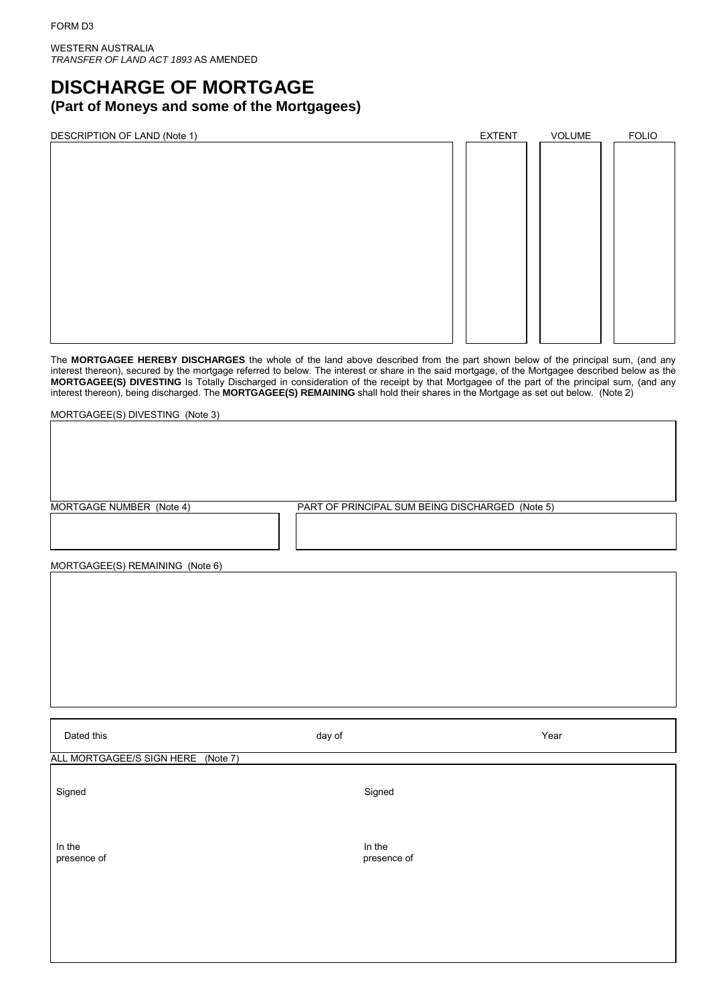WESTERN AUSTRALIA *TRANSFER OF LAND ACT 1893* AS AMENDED

## **DISCHARGE OF MORTGAGE (Part of Moneys and some of the Mortgagees)**

| DESCRIPTION OF LAND (Note 1) | <b>EXTENT</b> | VOLUME | <b>FOLIO</b> |
|------------------------------|---------------|--------|--------------|
|                              |               |        |              |
|                              |               |        |              |
|                              |               |        |              |
|                              |               |        |              |
|                              |               |        |              |
|                              |               |        |              |
|                              |               |        |              |
|                              |               |        |              |
|                              |               |        |              |
|                              |               |        |              |
|                              |               |        |              |
|                              |               |        |              |
|                              |               |        |              |
|                              |               |        |              |

The **MORTGAGEE HEREBY DISCHARGES** the whole of the land above described from the part shown below of the principal sum, (and any interest thereon), secured by the mortgage referred to below. The interest or share in the said mortgage, of the Mortgagee described below as the **MORTGAGEE(S) DIVESTING** Is Totally Discharged in consideration of the receipt by that Mortgagee of the part of the principal sum, (and any interest thereon), being discharged. The **MORTGAGEE(S) REMAINING** shall hold their shares in the Mortgage as set out below. (Note 2)

MORTGAGEE(S) DIVESTING (Note 3)

MORTGAGE NUMBER (Note 4) PART OF PRINCIPAL SUM BEING DISCHARGED (Note 5)

MORTGAGEE(S) REMAINING (Note 6)

| Dated this                         | day of                | Year |
|------------------------------------|-----------------------|------|
| ALL MORTGAGEE/S SIGN HERE (Note 7) |                       |      |
| Signed                             | Signed                |      |
| In the<br>presence of              | In the<br>presence of |      |
|                                    |                       |      |